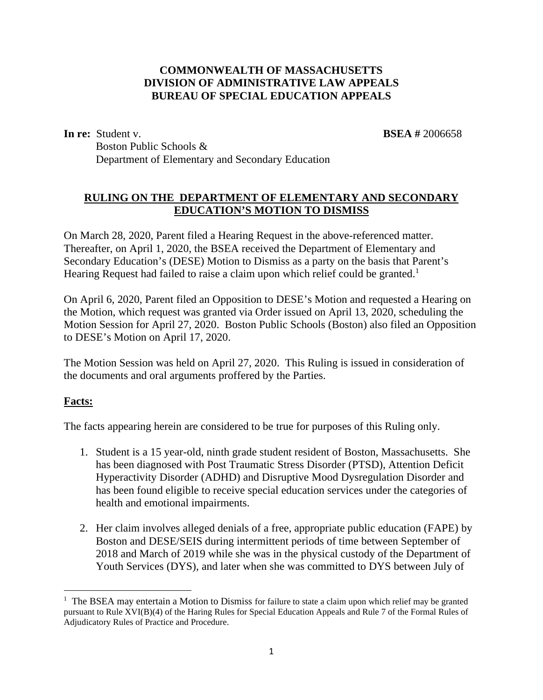## **COMMONWEALTH OF MASSACHUSETTS DIVISION OF ADMINISTRATIVE LAW APPEALS BUREAU OF SPECIAL EDUCATION APPEALS**

**In re:** Student v. **BSEA #** 2006658

Boston Public Schools & Department of Elementary and Secondary Education

#### **RULING ON THE DEPARTMENT OF ELEMENTARY AND SECONDARY EDUCATION'S MOTION TO DISMISS**

On March 28, 2020, Parent filed a Hearing Request in the above-referenced matter. Thereafter, on April 1, 2020, the BSEA received the Department of Elementary and Secondary Education's (DESE) Motion to Dismiss as a party on the basis that Parent's Hearing Request had failed to raise a claim upon which relief could be granted.<sup>1</sup>

On April 6, 2020, Parent filed an Opposition to DESE's Motion and requested a Hearing on the Motion, which request was granted via Order issued on April 13, 2020, scheduling the Motion Session for April 27, 2020. Boston Public Schools (Boston) also filed an Opposition to DESE's Motion on April 17, 2020.

The Motion Session was held on April 27, 2020. This Ruling is issued in consideration of the documents and oral arguments proffered by the Parties.

## **Facts:**

The facts appearing herein are considered to be true for purposes of this Ruling only.

- 1. Student is a 15 year-old, ninth grade student resident of Boston, Massachusetts. She has been diagnosed with Post Traumatic Stress Disorder (PTSD), Attention Deficit Hyperactivity Disorder (ADHD) and Disruptive Mood Dysregulation Disorder and has been found eligible to receive special education services under the categories of health and emotional impairments.
- 2. Her claim involves alleged denials of a free, appropriate public education (FAPE) by Boston and DESE/SEIS during intermittent periods of time between September of 2018 and March of 2019 while she was in the physical custody of the Department of Youth Services (DYS), and later when she was committed to DYS between July of

<sup>&</sup>lt;sup>1</sup> The BSEA may entertain a Motion to Dismiss for failure to state a claim upon which relief may be granted pursuant to Rule XVI(B)(4) of the Haring Rules for Special Education Appeals and Rule 7 of the Formal Rules of Adjudicatory Rules of Practice and Procedure.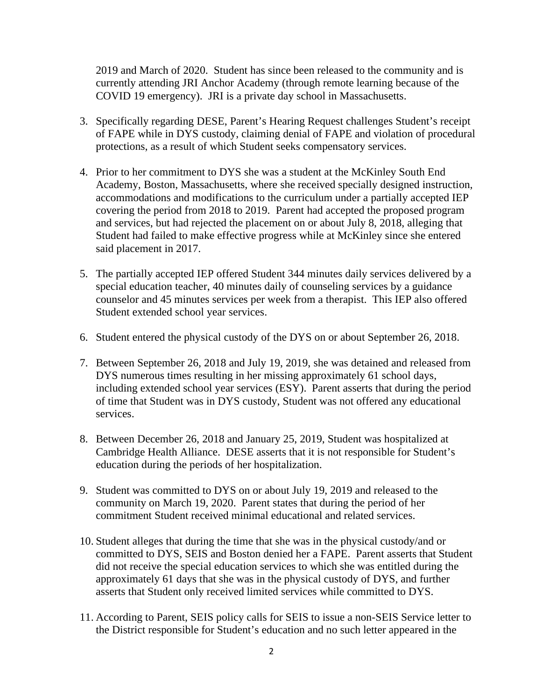2019 and March of 2020. Student has since been released to the community and is currently attending JRI Anchor Academy (through remote learning because of the COVID 19 emergency). JRI is a private day school in Massachusetts.

- 3. Specifically regarding DESE, Parent's Hearing Request challenges Student's receipt of FAPE while in DYS custody, claiming denial of FAPE and violation of procedural protections, as a result of which Student seeks compensatory services.
- 4. Prior to her commitment to DYS she was a student at the McKinley South End Academy, Boston, Massachusetts, where she received specially designed instruction, accommodations and modifications to the curriculum under a partially accepted IEP covering the period from 2018 to 2019. Parent had accepted the proposed program and services, but had rejected the placement on or about July 8, 2018, alleging that Student had failed to make effective progress while at McKinley since she entered said placement in 2017.
- 5. The partially accepted IEP offered Student 344 minutes daily services delivered by a special education teacher, 40 minutes daily of counseling services by a guidance counselor and 45 minutes services per week from a therapist. This IEP also offered Student extended school year services.
- 6. Student entered the physical custody of the DYS on or about September 26, 2018.
- 7. Between September 26, 2018 and July 19, 2019, she was detained and released from DYS numerous times resulting in her missing approximately 61 school days, including extended school year services (ESY). Parent asserts that during the period of time that Student was in DYS custody, Student was not offered any educational services.
- 8. Between December 26, 2018 and January 25, 2019, Student was hospitalized at Cambridge Health Alliance. DESE asserts that it is not responsible for Student's education during the periods of her hospitalization.
- 9. Student was committed to DYS on or about July 19, 2019 and released to the community on March 19, 2020. Parent states that during the period of her commitment Student received minimal educational and related services.
- 10. Student alleges that during the time that she was in the physical custody/and or committed to DYS, SEIS and Boston denied her a FAPE. Parent asserts that Student did not receive the special education services to which she was entitled during the approximately 61 days that she was in the physical custody of DYS, and further asserts that Student only received limited services while committed to DYS.
- 11. According to Parent, SEIS policy calls for SEIS to issue a non-SEIS Service letter to the District responsible for Student's education and no such letter appeared in the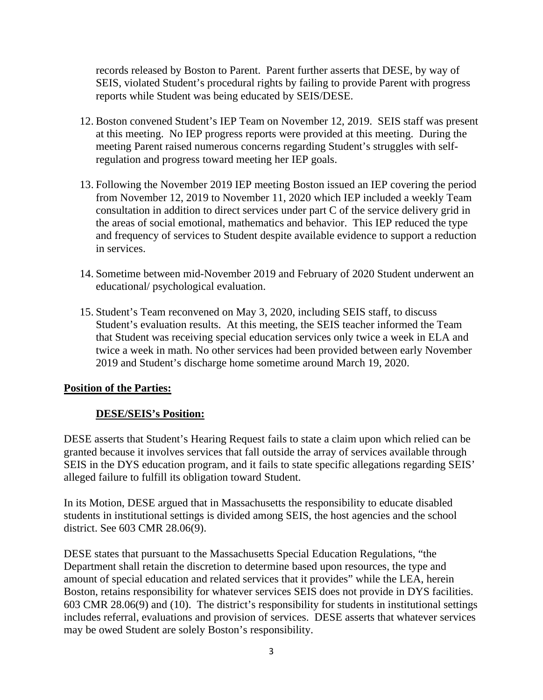records released by Boston to Parent. Parent further asserts that DESE, by way of SEIS, violated Student's procedural rights by failing to provide Parent with progress reports while Student was being educated by SEIS/DESE.

- 12. Boston convened Student's IEP Team on November 12, 2019. SEIS staff was present at this meeting. No IEP progress reports were provided at this meeting. During the meeting Parent raised numerous concerns regarding Student's struggles with selfregulation and progress toward meeting her IEP goals.
- 13. Following the November 2019 IEP meeting Boston issued an IEP covering the period from November 12, 2019 to November 11, 2020 which IEP included a weekly Team consultation in addition to direct services under part C of the service delivery grid in the areas of social emotional, mathematics and behavior. This IEP reduced the type and frequency of services to Student despite available evidence to support a reduction in services.
- 14. Sometime between mid-November 2019 and February of 2020 Student underwent an educational/ psychological evaluation.
- 15. Student's Team reconvened on May 3, 2020, including SEIS staff, to discuss Student's evaluation results. At this meeting, the SEIS teacher informed the Team that Student was receiving special education services only twice a week in ELA and twice a week in math. No other services had been provided between early November 2019 and Student's discharge home sometime around March 19, 2020.

#### **Position of the Parties:**

## **DESE/SEIS's Position:**

DESE asserts that Student's Hearing Request fails to state a claim upon which relied can be granted because it involves services that fall outside the array of services available through SEIS in the DYS education program, and it fails to state specific allegations regarding SEIS' alleged failure to fulfill its obligation toward Student.

In its Motion, DESE argued that in Massachusetts the responsibility to educate disabled students in institutional settings is divided among SEIS, the host agencies and the school district. See 603 CMR 28.06(9).

DESE states that pursuant to the Massachusetts Special Education Regulations, "the Department shall retain the discretion to determine based upon resources, the type and amount of special education and related services that it provides" while the LEA, herein Boston, retains responsibility for whatever services SEIS does not provide in DYS facilities. 603 CMR 28.06(9) and (10). The district's responsibility for students in institutional settings includes referral, evaluations and provision of services. DESE asserts that whatever services may be owed Student are solely Boston's responsibility.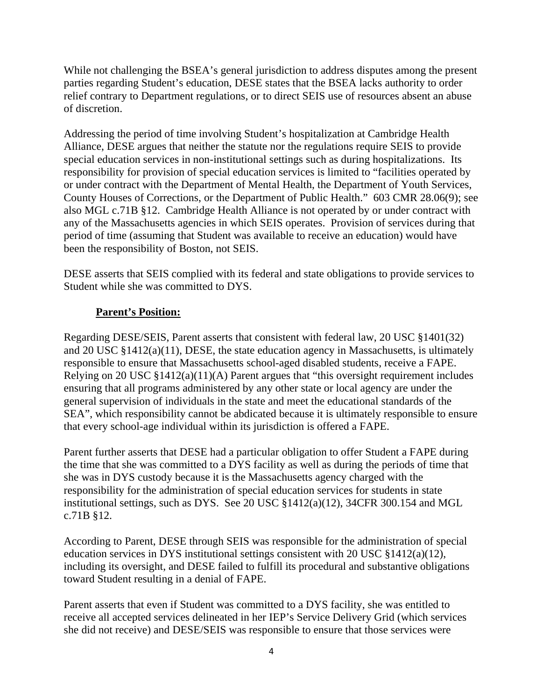While not challenging the BSEA's general jurisdiction to address disputes among the present parties regarding Student's education, DESE states that the BSEA lacks authority to order relief contrary to Department regulations, or to direct SEIS use of resources absent an abuse of discretion.

Addressing the period of time involving Student's hospitalization at Cambridge Health Alliance, DESE argues that neither the statute nor the regulations require SEIS to provide special education services in non-institutional settings such as during hospitalizations. Its responsibility for provision of special education services is limited to "facilities operated by or under contract with the Department of Mental Health, the Department of Youth Services, County Houses of Corrections, or the Department of Public Health." 603 CMR 28.06(9); see also MGL c.71B §12. Cambridge Health Alliance is not operated by or under contract with any of the Massachusetts agencies in which SEIS operates. Provision of services during that period of time (assuming that Student was available to receive an education) would have been the responsibility of Boston, not SEIS.

DESE asserts that SEIS complied with its federal and state obligations to provide services to Student while she was committed to DYS.

## **Parent's Position:**

Regarding DESE/SEIS, Parent asserts that consistent with federal law, 20 USC §1401(32) and 20 USC §1412(a)(11), DESE, the state education agency in Massachusetts, is ultimately responsible to ensure that Massachusetts school-aged disabled students, receive a FAPE. Relying on 20 USC §1412(a)(11)(A) Parent argues that "this oversight requirement includes ensuring that all programs administered by any other state or local agency are under the general supervision of individuals in the state and meet the educational standards of the SEA", which responsibility cannot be abdicated because it is ultimately responsible to ensure that every school-age individual within its jurisdiction is offered a FAPE.

Parent further asserts that DESE had a particular obligation to offer Student a FAPE during the time that she was committed to a DYS facility as well as during the periods of time that she was in DYS custody because it is the Massachusetts agency charged with the responsibility for the administration of special education services for students in state institutional settings, such as DYS. See 20 USC §1412(a)(12), 34CFR 300.154 and MGL c.71B §12.

According to Parent, DESE through SEIS was responsible for the administration of special education services in DYS institutional settings consistent with 20 USC §1412(a)(12), including its oversight, and DESE failed to fulfill its procedural and substantive obligations toward Student resulting in a denial of FAPE.

Parent asserts that even if Student was committed to a DYS facility, she was entitled to receive all accepted services delineated in her IEP's Service Delivery Grid (which services she did not receive) and DESE/SEIS was responsible to ensure that those services were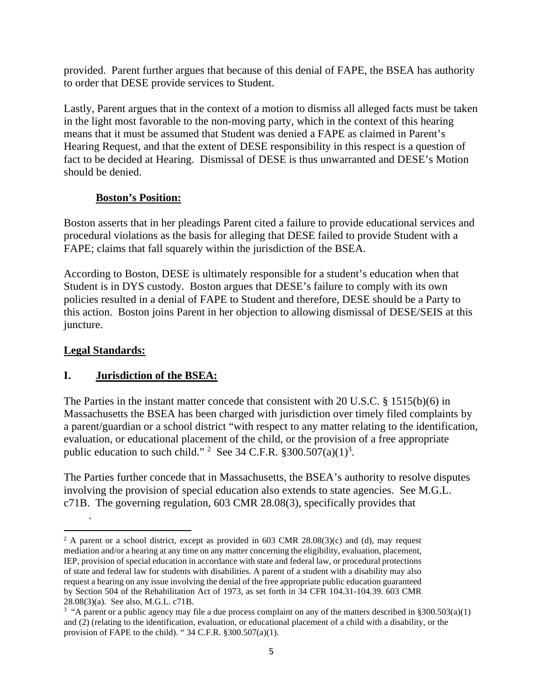provided. Parent further argues that because of this denial of FAPE, the BSEA has authority to order that DESE provide services to Student.

Lastly, Parent argues that in the context of a motion to dismiss all alleged facts must be taken in the light most favorable to the non-moving party, which in the context of this hearing means that it must be assumed that Student was denied a FAPE as claimed in Parent's Hearing Request, and that the extent of DESE responsibility in this respect is a question of fact to be decided at Hearing. Dismissal of DESE is thus unwarranted and DESE's Motion should be denied.

## **Boston's Position:**

Boston asserts that in her pleadings Parent cited a failure to provide educational services and procedural violations as the basis for alleging that DESE failed to provide Student with a FAPE; claims that fall squarely within the jurisdiction of the BSEA.

According to Boston, DESE is ultimately responsible for a student's education when that Student is in DYS custody. Boston argues that DESE's failure to comply with its own policies resulted in a denial of FAPE to Student and therefore, DESE should be a Party to this action. Boston joins Parent in her objection to allowing dismissal of DESE/SEIS at this juncture.

## **Legal Standards:**

.

## **I. Jurisdiction of the BSEA:**

The Parties in the instant matter concede that consistent with 20 U.S.C. § 1515(b)(6) in Massachusetts the BSEA has been charged with jurisdiction over timely filed complaints by a parent/guardian or a school district "with respect to any matter relating to the identification, evaluation, or educational placement of the child, or the provision of a free appropriate public education to such child." <sup>2</sup> See 34 C.F.R.  $$300.507(a)(1)^3$ .

The Parties further concede that in Massachusetts, the BSEA's authority to resolve disputes involving the provision of special education also extends to state agencies. See M.G.L. c71B. The governing regulation, 603 CMR 28.08(3), specifically provides that

<sup>&</sup>lt;sup>2</sup> A parent or a school district, except as provided in 603 CMR 28.08(3)(c) and (d), may request mediation and/or a hearing at any time on any matter concerning the eligibility, evaluation, placement, IEP, provision of special education in accordance with state and federal law, or procedural protections of state and federal law for students with disabilities. A parent of a student with a disability may also request a hearing on any issue involving the denial of the free appropriate public education guaranteed by Section 504 of the Rehabilitation Act of 1973, as set forth in 34 CFR 104.31-104.39. 603 CMR 28.08(3)(a). See also, M.G.L. c71B.

<sup>&</sup>lt;sup>3</sup> "A parent or a public agency may file a due process complaint on any of the matters described in  $\S 300.503(a)(1)$ and (2) (relating to the identification, evaluation, or educational placement of a child with a disability, or the provision of FAPE to the child). " $34$  C.F.R.  $§300.507(a)(1)$ .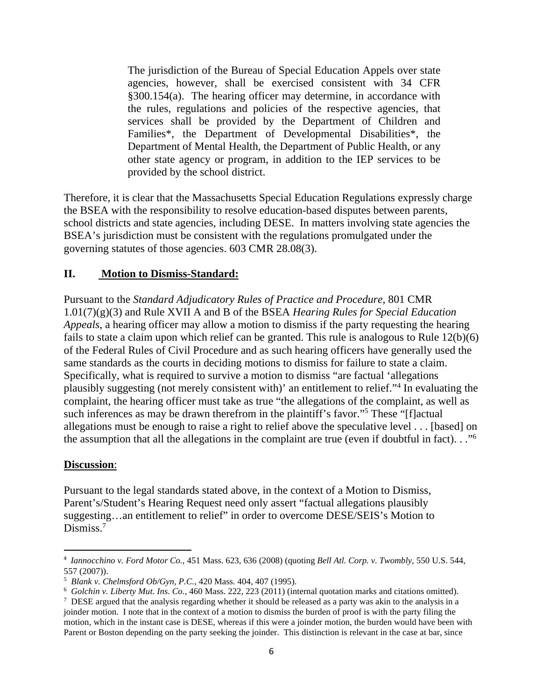The jurisdiction of the Bureau of Special Education Appels over state agencies, however, shall be exercised consistent with 34 CFR §300.154(a). The hearing officer may determine, in accordance with the rules, regulations and policies of the respective agencies, that services shall be provided by the Department of Children and Families\*, the Department of Developmental Disabilities\*, the Department of Mental Health, the Department of Public Health, or any other state agency or program, in addition to the IEP services to be provided by the school district.

Therefore, it is clear that the Massachusetts Special Education Regulations expressly charge the BSEA with the responsibility to resolve education-based disputes between parents, school districts and state agencies, including DESE. In matters involving state agencies the BSEA's jurisdiction must be consistent with the regulations promulgated under the governing statutes of those agencies. 603 CMR 28.08(3).

#### **II. Motion to Dismiss-Standard:**

Pursuant to the *Standard Adjudicatory Rules of Practice and Procedure*, 801 CMR 1.01(7)(g)(3) and Rule XVII A and B of the BSEA *Hearing Rules for Special Education Appeals*, a hearing officer may allow a motion to dismiss if the party requesting the hearing fails to state a claim upon which relief can be granted. This rule is analogous to Rule 12(b)(6) of the Federal Rules of Civil Procedure and as such hearing officers have generally used the same standards as the courts in deciding motions to dismiss for failure to state a claim. Specifically, what is required to survive a motion to dismiss "are factual 'allegations plausibly suggesting (not merely consistent with)' an entitlement to relief."<sup>4</sup> In evaluating the complaint, the hearing officer must take as true "the allegations of the complaint, as well as such inferences as may be drawn therefrom in the plaintiff's favor."<sup>5</sup> These "[f]actual allegations must be enough to raise a right to relief above the speculative level . . . [based] on the assumption that all the allegations in the complaint are true (even if doubtful in fact). . ."<sup>6</sup>

#### **Discussion**:

Pursuant to the legal standards stated above, in the context of a Motion to Dismiss, Parent's/Student's Hearing Request need only assert "factual allegations plausibly suggesting…an entitlement to relief" in order to overcome DESE/SEIS's Motion to Dismiss.<sup>7</sup>

<sup>4</sup> *Iannocchino v. Ford Motor Co.*, 451 Mass. 623, 636 (2008) (quoting *Bell Atl. Corp. v. Twombly*, 550 U.S. 544, 557 (2007)).

<sup>5</sup> *Blank v. Chelmsford Ob/Gyn, P.C.*, 420 Mass. 404, 407 (1995).

<sup>6</sup> *Golchin v. Liberty Mut. Ins. Co.*, 460 Mass. 222, 223 (2011) (internal quotation marks and citations omitted).

<sup>&</sup>lt;sup>7</sup> DESE argued that the analysis regarding whether it should be released as a party was akin to the analysis in a joinder motion. I note that in the context of a motion to dismiss the burden of proof is with the party filing the motion, which in the instant case is DESE, whereas if this were a joinder motion, the burden would have been with Parent or Boston depending on the party seeking the joinder. This distinction is relevant in the case at bar, since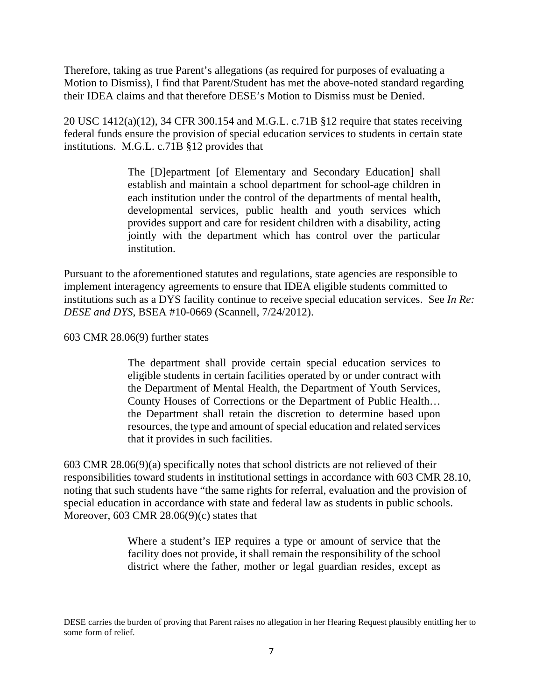Therefore, taking as true Parent's allegations (as required for purposes of evaluating a Motion to Dismiss), I find that Parent/Student has met the above-noted standard regarding their IDEA claims and that therefore DESE's Motion to Dismiss must be Denied.

20 USC 1412(a)(12), 34 CFR 300.154 and M.G.L. c.71B §12 require that states receiving federal funds ensure the provision of special education services to students in certain state institutions. M.G.L. c.71B §12 provides that

> The [D]epartment [of Elementary and Secondary Education] shall establish and maintain a school department for school-age children in each institution under the control of the departments of mental health, developmental services, public health and youth services which provides support and care for resident children with a disability, acting jointly with the department which has control over the particular institution.

Pursuant to the aforementioned statutes and regulations, state agencies are responsible to implement interagency agreements to ensure that IDEA eligible students committed to institutions such as a DYS facility continue to receive special education services. See *In Re: DESE and DYS*, BSEA #10-0669 (Scannell, 7/24/2012).

603 CMR 28.06(9) further states

The department shall provide certain special education services to eligible students in certain facilities operated by or under contract with the Department of Mental Health, the Department of Youth Services, County Houses of Corrections or the Department of Public Health… the Department shall retain the discretion to determine based upon resources, the type and amount of special education and related services that it provides in such facilities.

603 CMR 28.06(9)(a) specifically notes that school districts are not relieved of their responsibilities toward students in institutional settings in accordance with 603 CMR 28.10, noting that such students have "the same rights for referral, evaluation and the provision of special education in accordance with state and federal law as students in public schools. Moreover, 603 CMR 28.06(9)(c) states that

> Where a student's IEP requires a type or amount of service that the facility does not provide, it shall remain the responsibility of the school district where the father, mother or legal guardian resides, except as

DESE carries the burden of proving that Parent raises no allegation in her Hearing Request plausibly entitling her to some form of relief.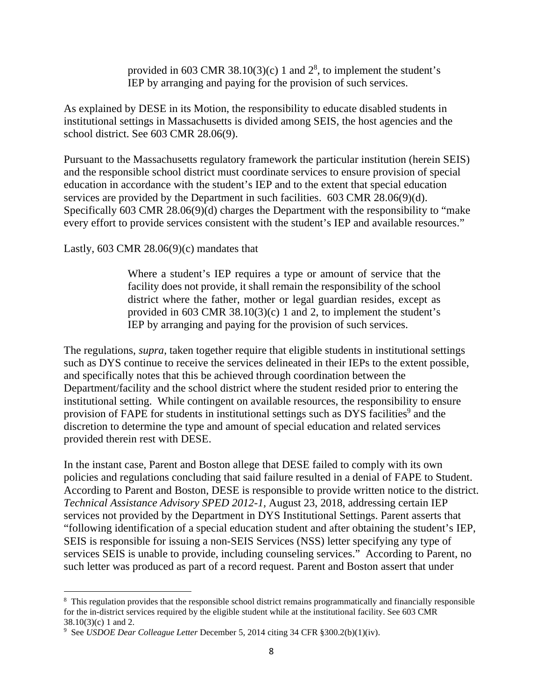provided in 603 CMR 38.10(3)(c) 1 and  $2^8$ , to implement the student's IEP by arranging and paying for the provision of such services.

As explained by DESE in its Motion, the responsibility to educate disabled students in institutional settings in Massachusetts is divided among SEIS, the host agencies and the school district. See 603 CMR 28.06(9).

Pursuant to the Massachusetts regulatory framework the particular institution (herein SEIS) and the responsible school district must coordinate services to ensure provision of special education in accordance with the student's IEP and to the extent that special education services are provided by the Department in such facilities. 603 CMR 28.06(9)(d). Specifically 603 CMR 28.06(9)(d) charges the Department with the responsibility to "make every effort to provide services consistent with the student's IEP and available resources."

Lastly,  $603$  CMR  $28.06(9)(c)$  mandates that

Where a student's IEP requires a type or amount of service that the facility does not provide, it shall remain the responsibility of the school district where the father, mother or legal guardian resides, except as provided in 603 CMR 38.10(3)(c) 1 and 2, to implement the student's IEP by arranging and paying for the provision of such services.

The regulations, *supra*, taken together require that eligible students in institutional settings such as DYS continue to receive the services delineated in their IEPs to the extent possible, and specifically notes that this be achieved through coordination between the Department/facility and the school district where the student resided prior to entering the institutional setting. While contingent on available resources, the responsibility to ensure provision of FAPE for students in institutional settings such as DYS facilities<sup>9</sup> and the discretion to determine the type and amount of special education and related services provided therein rest with DESE.

In the instant case, Parent and Boston allege that DESE failed to comply with its own policies and regulations concluding that said failure resulted in a denial of FAPE to Student. According to Parent and Boston, DESE is responsible to provide written notice to the district. *Technical Assistance Advisory SPED 2012-1,* August 23, 2018, addressing certain IEP services not provided by the Department in DYS Institutional Settings. Parent asserts that "following identification of a special education student and after obtaining the student's IEP, SEIS is responsible for issuing a non-SEIS Services (NSS) letter specifying any type of services SEIS is unable to provide, including counseling services." According to Parent, no such letter was produced as part of a record request. Parent and Boston assert that under

<sup>&</sup>lt;sup>8</sup> This regulation provides that the responsible school district remains programmatically and financially responsible for the in-district services required by the eligible student while at the institutional facility. See 603 CMR 38.10(3)(c) 1 and 2.

<sup>9</sup> See *USDOE Dear Colleague Letter* December 5, 2014 citing 34 CFR §300.2(b)(1)(iv).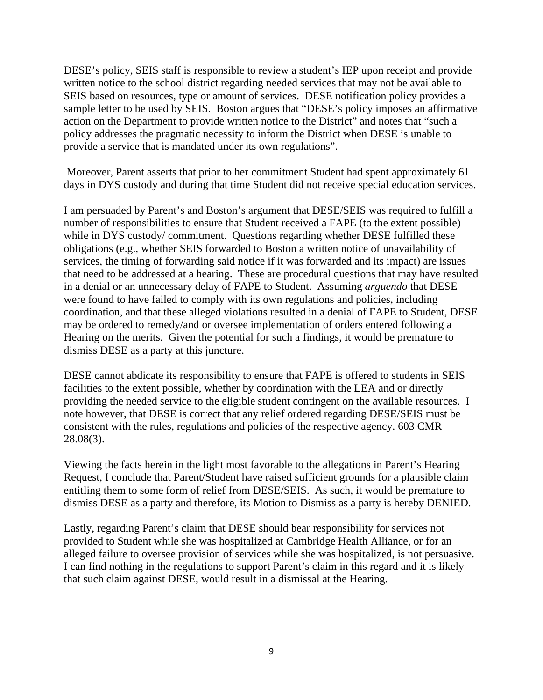DESE's policy, SEIS staff is responsible to review a student's IEP upon receipt and provide written notice to the school district regarding needed services that may not be available to SEIS based on resources, type or amount of services. DESE notification policy provides a sample letter to be used by SEIS. Boston argues that "DESE's policy imposes an affirmative action on the Department to provide written notice to the District" and notes that "such a policy addresses the pragmatic necessity to inform the District when DESE is unable to provide a service that is mandated under its own regulations".

 Moreover, Parent asserts that prior to her commitment Student had spent approximately 61 days in DYS custody and during that time Student did not receive special education services.

I am persuaded by Parent's and Boston's argument that DESE/SEIS was required to fulfill a number of responsibilities to ensure that Student received a FAPE (to the extent possible) while in DYS custody/ commitment. Questions regarding whether DESE fulfilled these obligations (e.g., whether SEIS forwarded to Boston a written notice of unavailability of services, the timing of forwarding said notice if it was forwarded and its impact) are issues that need to be addressed at a hearing. These are procedural questions that may have resulted in a denial or an unnecessary delay of FAPE to Student. Assuming *arguendo* that DESE were found to have failed to comply with its own regulations and policies, including coordination, and that these alleged violations resulted in a denial of FAPE to Student, DESE may be ordered to remedy/and or oversee implementation of orders entered following a Hearing on the merits. Given the potential for such a findings, it would be premature to dismiss DESE as a party at this juncture.

DESE cannot abdicate its responsibility to ensure that FAPE is offered to students in SEIS facilities to the extent possible, whether by coordination with the LEA and or directly providing the needed service to the eligible student contingent on the available resources. I note however, that DESE is correct that any relief ordered regarding DESE/SEIS must be consistent with the rules, regulations and policies of the respective agency. 603 CMR 28.08(3).

Viewing the facts herein in the light most favorable to the allegations in Parent's Hearing Request, I conclude that Parent/Student have raised sufficient grounds for a plausible claim entitling them to some form of relief from DESE/SEIS. As such, it would be premature to dismiss DESE as a party and therefore, its Motion to Dismiss as a party is hereby DENIED.

Lastly, regarding Parent's claim that DESE should bear responsibility for services not provided to Student while she was hospitalized at Cambridge Health Alliance, or for an alleged failure to oversee provision of services while she was hospitalized, is not persuasive. I can find nothing in the regulations to support Parent's claim in this regard and it is likely that such claim against DESE, would result in a dismissal at the Hearing.